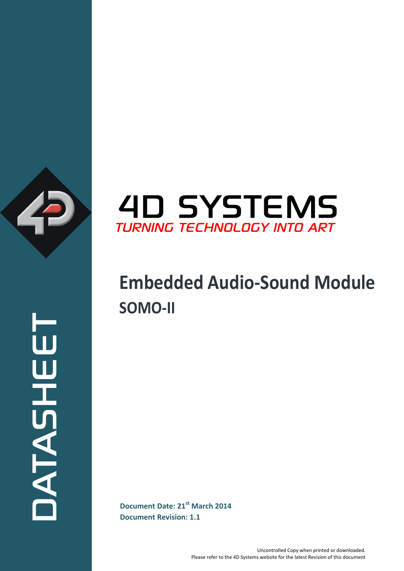

**Document Date: 21<sup>st</sup> March 2014** ATASHEET



# **Embedded Audio-Sound Module SOMO-II**

**Document Revision: 1.1**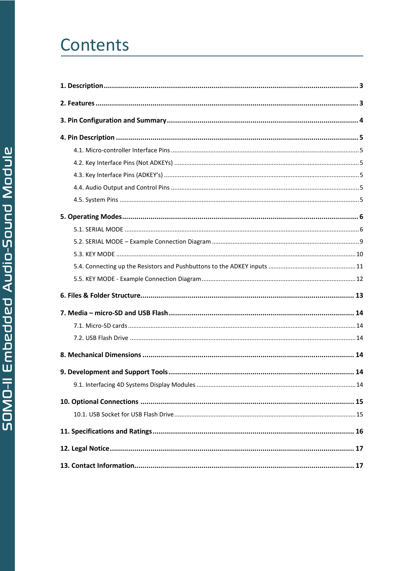# Contents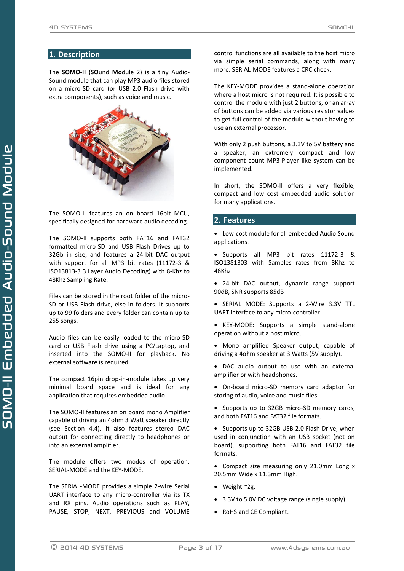## <span id="page-2-0"></span>**1. Description**

The **SOMO-II** (**SO**und **Mo**dule 2) is a tiny Audio-Sound module that can play MP3 audio files stored on a micro-SD card (or USB 2.0 Flash drive with extra components), such as voice and music.



The SOMO-II features an on board 16bit MCU, specifically designed for hardware audio decoding.

The SOMO-II supports both FAT16 and FAT32 formatted micro-SD and USB Flash Drives up to 32Gb in size, and features a 24-bit DAC output with support for all MP3 bit rates (11172-3 & ISO13813-3 3 Layer Audio Decoding) with 8-Khz to 48Khz Sampling Rate.

Files can be stored in the root folder of the micro-SD or USB Flash drive, else in folders. It supports up to 99 folders and every folder can contain up to 255 songs.

Audio files can be easily loaded to the micro-SD card or USB Flash drive using a PC/Laptop, and inserted into the SOMO-II for playback. No external software is required.

The compact 16pin drop-in-module takes up very minimal board space and is ideal for any application that requires embedded audio.

The SOMO-II features an on board mono Amplifier capable of driving an 4ohm 3 Watt speaker directly (see Section 4.4). It also features stereo DAC output for connecting directly to headphones or into an external amplifier.

The module offers two modes of operation, SERIAL-MODE and the KEY-MODE.

The SERIAL-MODE provides a simple 2-wire Serial UART interface to any micro-controller via its TX and RX pins. Audio operations such as PLAY, PAUSE, STOP, NEXT, PREVIOUS and VOLUME

control functions are all available to the host micro via simple serial commands, along with many more. SERIAL-MODE features a CRC check.

The KEY-MODE provides a stand-alone operation where a host micro is not required. It is possible to control the module with just 2 buttons, or an array of buttons can be added via various resistor values to get full control of the module without having to use an external processor.

With only 2 push buttons, a 3.3V to 5V battery and a speaker, an extremely compact and low component count MP3-Player like system can be implemented.

In short, the SOMO-II offers a very flexible, compact and low cost embedded audio solution for many applications.

## <span id="page-2-1"></span>**2. Features**

 Low-cost module for all embedded Audio Sound applications.

 Supports all MP3 bit rates 11172-3 & ISO1381303 with Samples rates from 8Khz to 48Khz

- 24-bit DAC output, dynamic range support 90dB, SNR supports 85dB
- SERIAL MODE: Supports a 2-Wire 3.3V TTL UART interface to any micro-controller.
- KEY-MODE: Supports a simple stand-alone operation without a host micro.
- Mono amplified Speaker output, capable of driving a 4ohm speaker at 3 Watts (5V supply).
- DAC audio output to use with an external amplifier or with headphones.
- On-board micro-SD memory card adaptor for storing of audio, voice and music files
- Supports up to 32GB micro-SD memory cards, and both FAT16 and FAT32 file formats.

• Supports up to 32GB USB 2.0 Flash Drive, when used in conjunction with an USB socket (not on board), supporting both FAT16 and FAT32 file formats.

• Compact size measuring only 21.0mm Long x 20.5mm Wide x 11.3mm High.

- $\bullet$  Weight ~2g.
- 3.3V to 5.0V DC voltage range (single supply).
- RoHS and CE Compliant.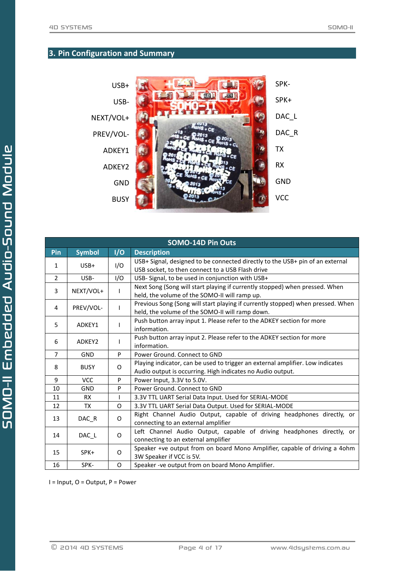# <span id="page-3-0"></span>**3. Pin Configuration and Summary**



|                | <b>SOMO-14D Pin Outs</b>                                      |          |                                                                                                                                              |  |  |
|----------------|---------------------------------------------------------------|----------|----------------------------------------------------------------------------------------------------------------------------------------------|--|--|
| Pin            | <b>Symbol</b>                                                 | I/O      | <b>Description</b>                                                                                                                           |  |  |
| 1              | $USB+$                                                        | I/O      | USB+ Signal, designed to be connected directly to the USB+ pin of an external<br>USB socket, to then connect to a USB Flash drive            |  |  |
| $\overline{2}$ | USB-                                                          | 1/O      | USB- Signal, to be used in conjunction with USB+                                                                                             |  |  |
| 3              | NEXT/VOL+                                                     | L        | Next Song (Song will start playing if currently stopped) when pressed. When<br>held, the volume of the SOMO-II will ramp up.                 |  |  |
| 4              | PREV/VOL-                                                     |          | Previous Song (Song will start playing if currently stopped) when pressed. When<br>held, the volume of the SOMO-II will ramp down.           |  |  |
| 5              | ADKEY1                                                        | L        | Push button array input 1. Please refer to the ADKEY section for more<br>information.                                                        |  |  |
| 6              | ADKEY2                                                        | ı        | Push button array input 2. Please refer to the ADKEY section for more<br>information.                                                        |  |  |
| $\overline{7}$ | <b>GND</b>                                                    | P        | Power Ground, Connect to GND                                                                                                                 |  |  |
| 8              | <b>BUSY</b>                                                   | $\Omega$ | Playing indicator, can be used to trigger an external amplifier. Low indicates<br>Audio output is occurring. High indicates no Audio output. |  |  |
| 9              | <b>VCC</b>                                                    | P        | Power Input, 3.3V to 5.0V.                                                                                                                   |  |  |
| 10             | <b>GND</b>                                                    | P        | Power Ground, Connect to GND                                                                                                                 |  |  |
| 11             | <b>RX</b>                                                     | L        | 3.3V TTL UART Serial Data Input. Used for SERIAL-MODE                                                                                        |  |  |
| 12             | <b>TX</b>                                                     | $\Omega$ | 3.3V TTL UART Serial Data Output. Used for SERIAL-MODE                                                                                       |  |  |
| 13             | DAC_R                                                         | O        | Right Channel Audio Output, capable of driving headphones directly, or<br>connecting to an external amplifier                                |  |  |
| 14             | DAC_L                                                         | O        | Left Channel Audio Output, capable of driving headphones directly, or<br>connecting to an external amplifier                                 |  |  |
| 15             | SPK+                                                          | 0        | Speaker +ve output from on board Mono Amplifier, capable of driving a 4ohm<br>3W Speaker if VCC is 5V.                                       |  |  |
| 16             | Speaker -ve output from on board Mono Amplifier.<br>SPK-<br>O |          |                                                                                                                                              |  |  |

I = Input, O = Output, P = Power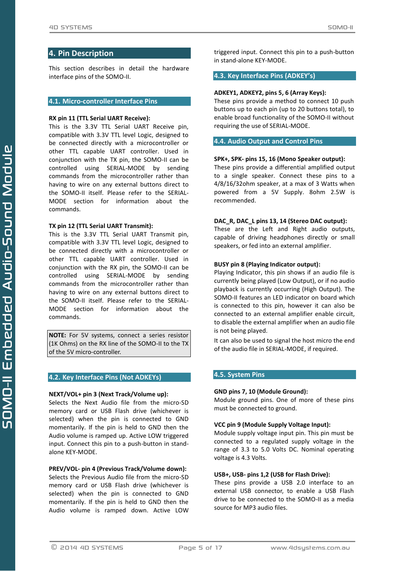## <span id="page-4-0"></span>**4. Pin Description**

This section describes in detail the hardware interface pins of the SOMO-II.

#### <span id="page-4-1"></span>**4.1. Micro-controller Interface Pins**

#### **RX pin 11 (TTL Serial UART Receive):**

This is the 3.3V TTL Serial UART Receive pin, compatible with 3.3V TTL level Logic, designed to be connected directly with a microcontroller or other TTL capable UART controller. Used in conjunction with the TX pin, the SOMO-II can be controlled using SERIAL-MODE by sending commands from the microcontroller rather than having to wire on any external buttons direct to the SOMO-II itself. Please refer to the SERIAL-MODE section for information about the commands.

#### **TX pin 12 (TTL Serial UART Transmit):**

This is the 3.3V TTL Serial UART Transmit pin, compatible with 3.3V TTL level Logic, designed to be connected directly with a microcontroller or other TTL capable UART controller. Used in conjunction with the RX pin, the SOMO-II can be controlled using SERIAL-MODE by sending commands from the microcontroller rather than having to wire on any external buttons direct to the SOMO-II itself. Please refer to the SERIAL-MODE section for information about the commands.

**NOTE:** For 5V systems, connect a series resistor (1K Ohms) on the RX line of the SOMO-II to the TX of the 5V micro-controller.

## <span id="page-4-2"></span>**4.2. Key Interface Pins (Not ADKEYs)**

#### **NEXT/VOL+ pin 3 (Next Track/Volume up):**

Selects the Next Audio file from the micro-SD memory card or USB Flash drive (whichever is selected) when the pin is connected to GND momentarily. If the pin is held to GND then the Audio volume is ramped up. Active LOW triggered input. Connect this pin to a push-button in standalone KEY-MODE.

#### **PREV/VOL- pin 4 (Previous Track/Volume down):**

Selects the Previous Audio file from the micro-SD memory card or USB Flash drive (whichever is selected) when the pin is connected to GND momentarily. If the pin is held to GND then the Audio volume is ramped down. Active LOW triggered input. Connect this pin to a push-button in stand-alone KEY-MODE.

#### <span id="page-4-3"></span>**4.3. Key Interface Pins (ADKEY's)**

#### **ADKEY1, ADKEY2, pins 5, 6 (Array Keys):**

These pins provide a method to connect 10 push buttons up to each pin (up to 20 buttons total), to enable broad functionality of the SOMO-II without requiring the use of SERIAL-MODE.

#### <span id="page-4-4"></span>**4.4. Audio Output and Control Pins**

#### **SPK+, SPK- pins 15, 16 (Mono Speaker output):**

These pins provide a differential amplified output to a single speaker. Connect these pins to a 4/8/16/32ohm speaker, at a max of 3 Watts when powered from a 5V Supply. 8ohm 2.5W is recommended.

#### **DAC\_R, DAC\_L pins 13, 14 (Stereo DAC output):**

These are the Left and Right audio outputs, capable of driving headphones directly or small speakers, or fed into an external amplifier.

#### **BUSY pin 8 (Playing Indicator output):**

Playing Indicator, this pin shows if an audio file is currently being played (Low Output), or if no audio playback is currently occurring (High Output). The SOMO-II features an LED indicator on board which is connected to this pin, however it can also be connected to an external amplifier enable circuit, to disable the external amplifier when an audio file is not being played.

It can also be used to signal the host micro the end of the audio file in SERIAL-MODE, if required.

## <span id="page-4-5"></span>**4.5. System Pins**

#### **GND pins 7, 10 (Module Ground):**

Module ground pins. One of more of these pins must be connected to ground.

#### **VCC pin 9 (Module Supply Voltage Input):**

Module supply voltage input pin. This pin must be connected to a regulated supply voltage in the range of 3.3 to 5.0 Volts DC. Nominal operating voltage is 4.3 Volts.

#### **USB+, USB- pins 1,2 (USB for Flash Drive):**

These pins provide a USB 2.0 interface to an external USB connector, to enable a USB Flash drive to be connected to the SOMO-II as a media source for MP3 audio files.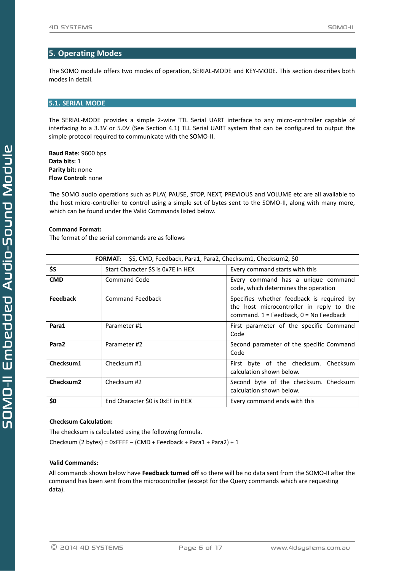# <span id="page-5-0"></span>**5. Operating Modes**

The SOMO module offers two modes of operation, SERIAL-MODE and KEY-MODE. This section describes both modes in detail.

## <span id="page-5-1"></span>**5.1. SERIAL MODE**

The SERIAL-MODE provides a simple 2-wire TTL Serial UART interface to any micro-controller capable of interfacing to a 3.3V or 5.0V (See Section 4.1) TLL Serial UART system that can be configured to output the simple protocol required to communicate with the SOMO-II.

**Baud Rate:** 9600 bps **Data bits:** 1 **Parity bit:** none **Flow Control:** none

The SOMO audio operations such as PLAY, PAUSE, STOP, NEXT, PREVIOUS and VOLUME etc are all available to the host micro-controller to control using a simple set of bytes sent to the SOMO-II, along with many more, which can be found under the Valid Commands listed below.

#### **Command Format:**

The format of the serial commands are as follows

| \$S, CMD, Feedback, Para1, Para2, Checksum1, Checksum2, \$0<br><b>FORMAT:</b> |                                    |                                                                                                                                     |  |  |
|-------------------------------------------------------------------------------|------------------------------------|-------------------------------------------------------------------------------------------------------------------------------------|--|--|
| \$S                                                                           | Start Character \$S is 0x7E in HEX | Every command starts with this                                                                                                      |  |  |
| <b>CMD</b>                                                                    | Command Code                       | Every command has a unique command<br>code, which determines the operation                                                          |  |  |
| <b>Feedback</b>                                                               | <b>Command Feedback</b>            | Specifies whether feedback is required by<br>the host microcontroller in reply to the<br>command. $1 =$ Feedback, $0 =$ No Feedback |  |  |
| Para1                                                                         | Parameter #1                       | First parameter of the specific Command<br>Code                                                                                     |  |  |
| Para <sub>2</sub>                                                             | Parameter #2                       | Second parameter of the specific Command<br>Code                                                                                    |  |  |
| Checksum1                                                                     | Checksum #1                        | First byte of the checksum.<br>Checksum<br>calculation shown below.                                                                 |  |  |
| Checksum <sub>2</sub>                                                         | Checksum #2                        | Second byte of the checksum. Checksum<br>calculation shown below.                                                                   |  |  |
| \$0                                                                           | End Character \$0 is 0xEF in HEX   | Every command ends with this                                                                                                        |  |  |

## **Checksum Calculation:**

The checksum is calculated using the following formula. Checksum (2 bytes) = 0xFFFF – (CMD + Feedback + Para1 + Para2) + 1

#### **Valid Commands:**

All commands shown below have **Feedback turned off** so there will be no data sent from the SOMO-II after the command has been sent from the microcontroller (except for the Query commands which are requesting data).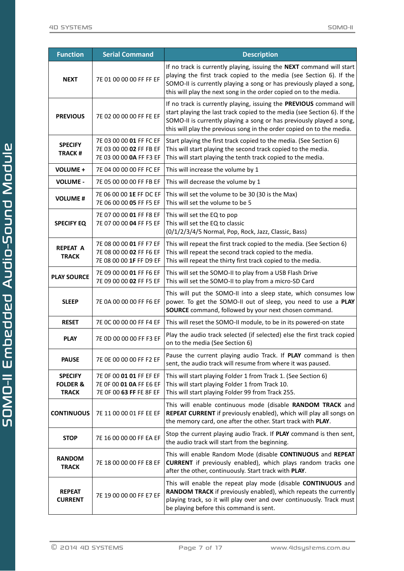| <b>Function</b>                                       | <b>Serial Command</b>                                                         | <b>Description</b>                                                                                                                                                                                                                                                                               |
|-------------------------------------------------------|-------------------------------------------------------------------------------|--------------------------------------------------------------------------------------------------------------------------------------------------------------------------------------------------------------------------------------------------------------------------------------------------|
| <b>NEXT</b>                                           | 7E 01 00 00 00 FF FF EF                                                       | If no track is currently playing, issuing the NEXT command will start<br>playing the first track copied to the media (see Section 6). If the<br>SOMO-II is currently playing a song or has previously played a song,<br>this will play the next song in the order copied on to the media.        |
| <b>PREVIOUS</b>                                       | 7E 02 00 00 00 FF FE EF                                                       | If no track is currently playing, issuing the PREVIOUS command will<br>start playing the last track copied to the media (see Section 6). If the<br>SOMO-II is currently playing a song or has previously played a song,<br>this will play the previous song in the order copied on to the media. |
| <b>SPECIFY</b><br><b>TRACK#</b>                       | 7E 03 00 00 01 FF FC EF<br>7E 03 00 00 02 FF FB EF<br>7E 03 00 00 0A FF F3 EF | Start playing the first track copied to the media. (See Section 6)<br>This will start playing the second track copied to the media.<br>This will start playing the tenth track copied to the media.                                                                                              |
| <b>VOLUME +</b>                                       | 7E 04 00 00 00 FF FC EF                                                       | This will increase the volume by 1                                                                                                                                                                                                                                                               |
| <b>VOLUME -</b>                                       | 7E 05 00 00 00 FF FB EF                                                       | This will decrease the volume by 1                                                                                                                                                                                                                                                               |
| <b>VOLUME#</b>                                        | 7E 06 00 00 1E FF DC EF<br>7E 06 00 00 05 FF F5 EF                            | This will set the volume to be 30 (30 is the Max)<br>This will set the volume to be 5                                                                                                                                                                                                            |
| <b>SPECIFY EQ</b>                                     | 7E 07 00 00 01 FF F8 EF<br>7E 07 00 00 04 FF F5 EF                            | This will set the EQ to pop<br>This will set the EQ to classic<br>(0/1/2/3/4/5 Normal, Pop, Rock, Jazz, Classic, Bass)                                                                                                                                                                           |
| <b>REPEAT A</b><br><b>TRACK</b>                       | 7E 08 00 00 01 FF F7 EF<br>7E 08 00 00 02 FF F6 EF<br>7E 08 00 00 1F FF D9 EF | This will repeat the first track copied to the media. (See Section 6)<br>This will repeat the second track copied to the media.<br>This will repeat the thirty first track copied to the media.                                                                                                  |
| <b>PLAY SOURCE</b>                                    | 7E 09 00 00 01 FF F6 EF<br>7E 09 00 00 02 FF F5 EF                            | This will set the SOMO-II to play from a USB Flash Drive<br>This will set the SOMO-II to play from a micro-SD Card                                                                                                                                                                               |
| <b>SLEEP</b>                                          | 7E 0A 00 00 00 FF F6 EF                                                       | This will put the SOMO-II into a sleep state, which consumes low<br>power. To get the SOMO-II out of sleep, you need to use a PLAY<br>SOURCE command, followed by your next chosen command.                                                                                                      |
| <b>RESET</b>                                          | 7E OC 00 00 00 FF F4 EF                                                       | This will reset the SOMO-II module, to be in its powered-on state                                                                                                                                                                                                                                |
| <b>PLAY</b>                                           | 7E OD 00 00 00 FF F3 EF                                                       | Play the audio track selected (if selected) else the first track copied<br>on to the media (See Section 6)                                                                                                                                                                                       |
| <b>PAUSE</b>                                          | 7E 0E 00 00 00 FF F2 EF                                                       | Pause the current playing audio Track. If PLAY command is then<br>sent, the audio track will resume from where it was paused.                                                                                                                                                                    |
| <b>SPECIFY</b><br><b>FOLDER &amp;</b><br><b>TRACK</b> | 7E OF 00 01 01 FF EF EF<br>7E OF 00 01 0A FF E6 EF<br>7E OF 00 63 FF FE 8F EF | This will start playing Folder 1 from Track 1. (See Section 6)<br>This will start playing Folder 1 from Track 10.<br>This will start playing Folder 99 from Track 255.                                                                                                                           |
| <b>CONTINUOUS</b>                                     | 7E 11 00 00 01 FF EE EF                                                       | This will enable continuous mode (disable RANDOM TRACK and<br>REPEAT CURRENT if previously enabled), which will play all songs on<br>the memory card, one after the other. Start track with PLAY.                                                                                                |
| <b>STOP</b>                                           | 7E 16 00 00 00 FF EA EF                                                       | Stop the current playing audio Track. If PLAY command is then sent,<br>the audio track will start from the beginning.                                                                                                                                                                            |
| <b>RANDOM</b><br><b>TRACK</b>                         | 7E 18 00 00 00 FF E8 EF                                                       | This will enable Random Mode (disable CONTINUOUS and REPEAT<br><b>CURRENT</b> if previously enabled), which plays random tracks one<br>after the other, continuously. Start track with PLAY.                                                                                                     |
| <b>REPEAT</b><br><b>CURRENT</b>                       | 7E 19 00 00 00 FF E7 EF                                                       | This will enable the repeat play mode (disable CONTINUOUS and<br>RANDOM TRACK if previously enabled), which repeats the currently<br>playing track, so it will play over and over continuously. Track must<br>be playing before this command is sent.                                            |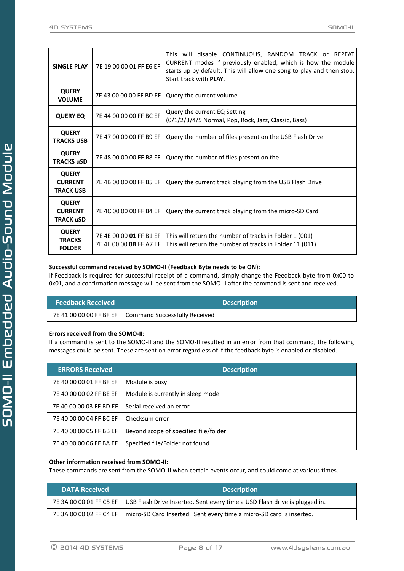|                                                                                                                                                                                              | <b>SINGLE PLAY</b>                                 | 7E 19 00 00 01 FF E6 EF | This will disable CONTINUOUS, RANDOM TRACK or REPEAT<br>CURRENT modes if previously enabled, which is how the module<br>starts up by default. This will allow one song to play and then stop.<br>Start track with <b>PLAY</b> . |  |
|----------------------------------------------------------------------------------------------------------------------------------------------------------------------------------------------|----------------------------------------------------|-------------------------|---------------------------------------------------------------------------------------------------------------------------------------------------------------------------------------------------------------------------------|--|
|                                                                                                                                                                                              | <b>QUERY</b><br><b>VOLUME</b>                      | 7E 43 00 00 00 FF BD EF | Query the current volume                                                                                                                                                                                                        |  |
|                                                                                                                                                                                              | <b>QUERY EQ</b>                                    | 7E 44 00 00 00 FF BC EF | Query the current EQ Setting<br>(0/1/2/3/4/5 Normal, Pop, Rock, Jazz, Classic, Bass)                                                                                                                                            |  |
| <b>QUERY</b><br>7E 47 00 00 00 FF B9 EF<br><b>TRACKS USB</b>                                                                                                                                 |                                                    |                         | Query the number of files present on the USB Flash Drive                                                                                                                                                                        |  |
| <b>QUERY</b><br>7E 48 00 00 00 FF B8 EF<br><b>TRACKS uSD</b>                                                                                                                                 |                                                    |                         | Query the number of files present on the                                                                                                                                                                                        |  |
|                                                                                                                                                                                              | <b>QUERY</b><br><b>CURRENT</b><br><b>TRACK USB</b> | 7E 4B 00 00 00 FF B5 EF | Query the current track playing from the USB Flash Drive                                                                                                                                                                        |  |
| <b>QUERY</b><br><b>CURRENT</b><br>7E 4C 00 00 00 FF B4 EF<br><b>TRACK uSD</b><br><b>QUERY</b><br>7E 4E 00 00 01 FF B1 EF<br><b>TRACKS</b><br>7E 4E 00 00 <b>0B</b> FF A7 EF<br><b>FOLDER</b> |                                                    |                         | Query the current track playing from the micro-SD Card                                                                                                                                                                          |  |
|                                                                                                                                                                                              |                                                    |                         | This will return the number of tracks in Folder 1 (001)<br>This will return the number of tracks in Folder 11 (011)                                                                                                             |  |

## **Successful command received by SOMO-II (Feedback Byte needs to be ON):**

If Feedback is required for successful receipt of a command, simply change the Feedback byte from 0x00 to 0x01, and a confirmation message will be sent from the SOMO-II after the command is sent and received.

| <b>Feedback Received</b> | <b>Description</b> |                                                       |  |
|--------------------------|--------------------|-------------------------------------------------------|--|
|                          |                    | 7E 41 00 00 00 FF BF EF Command Successfully Received |  |

## **Errors received from the SOMO-II:**

If a command is sent to the SOMO-II and the SOMO-II resulted in an error from that command, the following messages could be sent. These are sent on error regardless of if the feedback byte is enabled or disabled.

| <b>ERRORS Received</b>  | <b>Description</b>                    |
|-------------------------|---------------------------------------|
| 7E 40 00 00 01 FF BF EF | Module is busy                        |
| 7E 40 00 00 02 FF BE EF | Module is currently in sleep mode     |
| 7E 40 00 00 03 FF BD EF | l Serial received an error            |
| 7E 40 00 00 04 FF BC EF | l Checksum error                      |
| 7E 40 00 00 05 FF BB EF | Beyond scope of specified file/folder |
| 7E 40 00 00 06 FF BA EF | Specified file/Folder not found       |

#### **Other information received from SOMO-II:**

These commands are sent from the SOMO-II when certain events occur, and could come at various times.

| <b>DATA Received</b>    | <b>Description</b>                                                                                   |
|-------------------------|------------------------------------------------------------------------------------------------------|
|                         | 7E 3A 00 00 01 FF C5 EF   USB Flash Drive Inserted. Sent every time a USD Flash drive is plugged in. |
| 7E 3A 00 00 02 FF C4 EF | micro-SD Card Inserted. Sent every time a micro-SD card is inserted.                                 |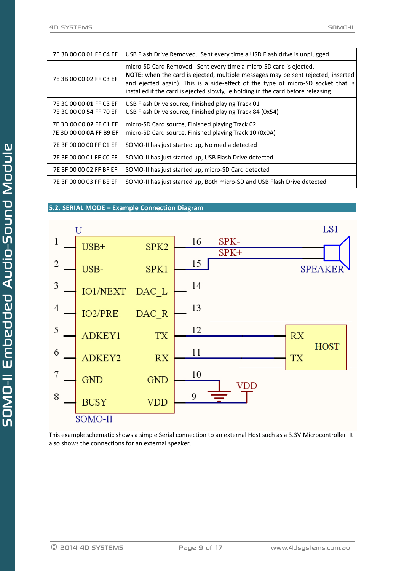| 7E 3B 00 00 01 FF C4 EF                            | USB Flash Drive Removed. Sent every time a USD Flash drive is unplugged.                                                                                                                                                                                                                                                               |
|----------------------------------------------------|----------------------------------------------------------------------------------------------------------------------------------------------------------------------------------------------------------------------------------------------------------------------------------------------------------------------------------------|
| 7E 3B 00 00 02 FF C3 EF                            | micro-SD Card Removed. Sent every time a micro-SD card is ejected.<br><b>NOTE:</b> when the card is ejected, multiple messages may be sent (ejected, inserted<br>and ejected again). This is a side-effect of the type of micro-SD socket that is<br>installed if the card is ejected slowly, ie holding in the card before releasing. |
| 7E 3C 00 00 01 FF C3 EF<br>7E 3C 00 00 54 FF 70 EF | USB Flash Drive source, Finished playing Track 01<br>USB Flash Drive source, Finished playing Track 84 (0x54)                                                                                                                                                                                                                          |
| 7E 3D 00 00 02 FF C1 EF<br>7E 3D 00 00 0A FF B9 EF | micro-SD Card source, Finished playing Track 02<br>micro-SD Card source, Finished playing Track 10 (0x0A)                                                                                                                                                                                                                              |
| 7E 3F 00 00 00 FF C1 EF                            | SOMO-II has just started up, No media detected                                                                                                                                                                                                                                                                                         |
| 7E 3F 00 00 01 FF C0 EF                            | SOMO-II has just started up, USB Flash Drive detected                                                                                                                                                                                                                                                                                  |
| 7E 3F 00 00 02 FF BF EF                            | SOMO-II has just started up, micro-SD Card detected                                                                                                                                                                                                                                                                                    |
| 7E 3F 00 00 03 FF BE EF                            | SOMO-II has just started up, Both micro-SD and USB Flash Drive detected                                                                                                                                                                                                                                                                |

## <span id="page-8-0"></span>**5.2. SERIAL MODE – Example Connection Diagram**



This example schematic shows a simple Serial connection to an external Host such as a 3.3V Microcontroller. It also shows the connections for an external speaker.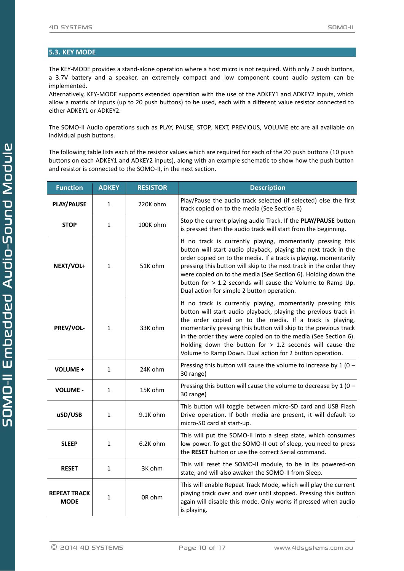## <span id="page-9-0"></span>**5.3. KEY MODE**

The KEY-MODE provides a stand-alone operation where a host micro is not required. With only 2 push buttons, a 3.7V battery and a speaker, an extremely compact and low component count audio system can be implemented.

Alternatively, KEY-MODE supports extended operation with the use of the ADKEY1 and ADKEY2 inputs, which allow a matrix of inputs (up to 20 push buttons) to be used, each with a different value resistor connected to either ADKEY1 or ADKEY2.

The SOMO-II Audio operations such as PLAY, PAUSE, STOP, NEXT, PREVIOUS, VOLUME etc are all available on individual push buttons.

The following table lists each of the resistor values which are required for each of the 20 push buttons (10 push buttons on each ADKEY1 and ADKEY2 inputs), along with an example schematic to show how the push button and resistor is connected to the SOMO-II, in the next section.

| <b>Function</b>                                                            | <b>ADKEY</b> | <b>RESISTOR</b>                                                                                                                                                                                      | <b>Description</b>                                                                                                                                                                                                                                                                                                                                                                                                                                         |  |
|----------------------------------------------------------------------------|--------------|------------------------------------------------------------------------------------------------------------------------------------------------------------------------------------------------------|------------------------------------------------------------------------------------------------------------------------------------------------------------------------------------------------------------------------------------------------------------------------------------------------------------------------------------------------------------------------------------------------------------------------------------------------------------|--|
| <b>PLAY/PAUSE</b>                                                          | 1            | 220K ohm                                                                                                                                                                                             | Play/Pause the audio track selected (if selected) else the first<br>track copied on to the media (See Section 6)                                                                                                                                                                                                                                                                                                                                           |  |
| <b>STOP</b>                                                                | 1            | 100K ohm                                                                                                                                                                                             | Stop the current playing audio Track. If the PLAY/PAUSE button<br>is pressed then the audio track will start from the beginning.                                                                                                                                                                                                                                                                                                                           |  |
| NEXT/VOL+                                                                  | 1            | 51K ohm                                                                                                                                                                                              | If no track is currently playing, momentarily pressing this<br>button will start audio playback, playing the next track in the<br>order copied on to the media. If a track is playing, momentarily<br>pressing this button will skip to the next track in the order they<br>were copied on to the media (See Section 6). Holding down the<br>button for > 1.2 seconds will cause the Volume to Ramp Up.<br>Dual action for simple 2 button operation.      |  |
| PREV/VOL-                                                                  | 1            | 33K ohm                                                                                                                                                                                              | If no track is currently playing, momentarily pressing this<br>button will start audio playback, playing the previous track in<br>the order copied on to the media. If a track is playing,<br>momentarily pressing this button will skip to the previous track<br>in the order they were copied on to the media (See Section 6).<br>Holding down the button for $> 1.2$ seconds will cause the<br>Volume to Ramp Down. Dual action for 2 button operation. |  |
| <b>VOLUME +</b>                                                            | 1            | 24K ohm                                                                                                                                                                                              | Pressing this button will cause the volume to increase by $1(0 -$<br>30 range)                                                                                                                                                                                                                                                                                                                                                                             |  |
| <b>VOLUME -</b>                                                            | 1            | 15K ohm                                                                                                                                                                                              | Pressing this button will cause the volume to decrease by $1(0 -$<br>30 range)                                                                                                                                                                                                                                                                                                                                                                             |  |
| uSD/USB                                                                    | 1            | 9.1K ohm                                                                                                                                                                                             | This button will toggle between micro-SD card and USB Flash<br>Drive operation. If both media are present, it will default to<br>micro-SD card at start-up.                                                                                                                                                                                                                                                                                                |  |
| <b>SLEEP</b><br>6.2K ohm<br>1                                              |              | This will put the SOMO-II into a sleep state, which consumes<br>low power. To get the SOMO-II out of sleep, you need to press<br>the RESET button or use the correct Serial command.                 |                                                                                                                                                                                                                                                                                                                                                                                                                                                            |  |
| <b>RESET</b>                                                               | 1            | 3K ohm                                                                                                                                                                                               | This will reset the SOMO-II module, to be in its powered-on<br>state, and will also awaken the SOMO-II from Sleep.                                                                                                                                                                                                                                                                                                                                         |  |
| <b>REPEAT TRACK</b><br>OR ohm<br>$\mathbf 1$<br><b>MODE</b><br>is playing. |              | This will enable Repeat Track Mode, which will play the current<br>playing track over and over until stopped. Pressing this button<br>again will disable this mode. Only works if pressed when audio |                                                                                                                                                                                                                                                                                                                                                                                                                                                            |  |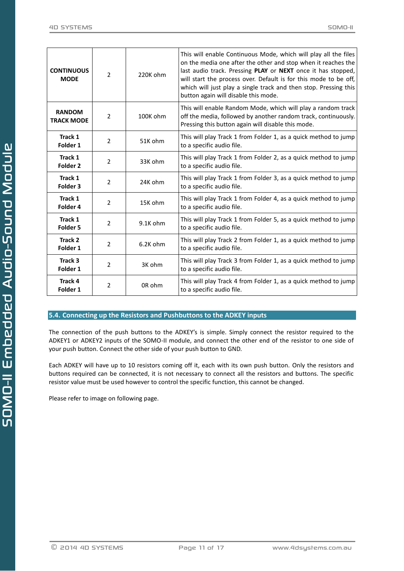| <b>CONTINUOUS</b><br><b>MODE</b>   | $\overline{2}$ | 220K ohm | This will enable Continuous Mode, which will play all the files<br>on the media one after the other and stop when it reaches the<br>last audio track. Pressing PLAY or NEXT once it has stopped,<br>will start the process over. Default is for this mode to be off,<br>which will just play a single track and then stop. Pressing this<br>button again will disable this mode. |
|------------------------------------|----------------|----------|----------------------------------------------------------------------------------------------------------------------------------------------------------------------------------------------------------------------------------------------------------------------------------------------------------------------------------------------------------------------------------|
| <b>RANDOM</b><br><b>TRACK MODE</b> | $\overline{2}$ | 100K ohm | This will enable Random Mode, which will play a random track<br>off the media, followed by another random track, continuously.<br>Pressing this button again will disable this mode.                                                                                                                                                                                             |
| Track 1<br>Folder 1                | $\overline{2}$ | 51K ohm  | This will play Track 1 from Folder 1, as a quick method to jump<br>to a specific audio file.                                                                                                                                                                                                                                                                                     |
| Track 1<br>Folder <sub>2</sub>     | 2              | 33K ohm  | This will play Track 1 from Folder 2, as a quick method to jump<br>to a specific audio file.                                                                                                                                                                                                                                                                                     |
| Track 1<br>Folder <sub>3</sub>     | 2              | 24K ohm  | This will play Track 1 from Folder 3, as a quick method to jump<br>to a specific audio file.                                                                                                                                                                                                                                                                                     |
| Track 1<br>Folder 4                | $\overline{2}$ | 15K ohm  | This will play Track 1 from Folder 4, as a quick method to jump<br>to a specific audio file.                                                                                                                                                                                                                                                                                     |
| Track 1<br>Folder <sub>5</sub>     | $\overline{2}$ | 9.1K ohm | This will play Track 1 from Folder 5, as a quick method to jump<br>to a specific audio file.                                                                                                                                                                                                                                                                                     |
| Track 2<br>Folder 1                | $\overline{2}$ | 6.2K ohm | This will play Track 2 from Folder 1, as a quick method to jump<br>to a specific audio file.                                                                                                                                                                                                                                                                                     |
| Track 3<br>Folder 1                | 2              | 3K ohm   | This will play Track 3 from Folder 1, as a quick method to jump<br>to a specific audio file.                                                                                                                                                                                                                                                                                     |
| <b>Track 4</b><br>Folder 1         | 2              | OR ohm   | This will play Track 4 from Folder 1, as a quick method to jump<br>to a specific audio file.                                                                                                                                                                                                                                                                                     |

## <span id="page-10-0"></span>**5.4. Connecting up the Resistors and Pushbuttons to the ADKEY inputs**

The connection of the push buttons to the ADKEY's is simple. Simply connect the resistor required to the ADKEY1 or ADKEY2 inputs of the SOMO-II module, and connect the other end of the resistor to one side of your push button. Connect the other side of your push button to GND.

Each ADKEY will have up to 10 resistors coming off it, each with its own push button. Only the resistors and buttons required can be connected, it is not necessary to connect all the resistors and buttons. The specific resistor value must be used however to control the specific function, this cannot be changed.

Please refer to image on following page.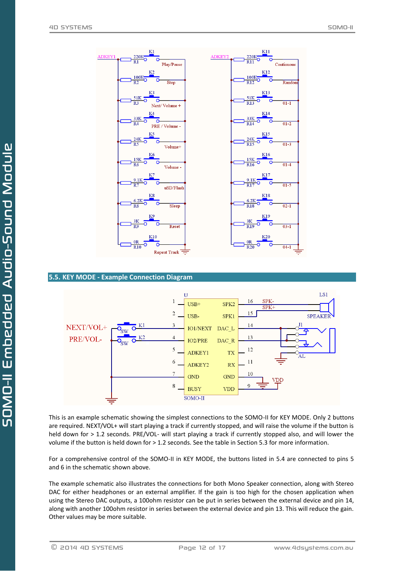

<span id="page-11-0"></span>**5.5. KEY MODE - Example Connection Diagram**



This is an example schematic showing the simplest connections to the SOMO-II for KEY MODE. Only 2 buttons are required. NEXT/VOL+ will start playing a track if currently stopped, and will raise the volume if the button is held down for > 1.2 seconds. PRE/VOL- will start playing a track if currently stopped also, and will lower the volume if the button is held down for > 1.2 seconds. See the table in Section 5.3 for more information.

For a comprehensive control of the SOMO-II in KEY MODE, the buttons listed in 5.4 are connected to pins 5 and 6 in the schematic shown above.

The example schematic also illustrates the connections for both Mono Speaker connection, along with Stereo DAC for either headphones or an external amplifier. If the gain is too high for the chosen application when using the Stereo DAC outputs, a 100ohm resistor can be put in series between the external device and pin 14, along with another 100ohm resistor in series between the external device and pin 13. This will reduce the gain. Other values may be more suitable.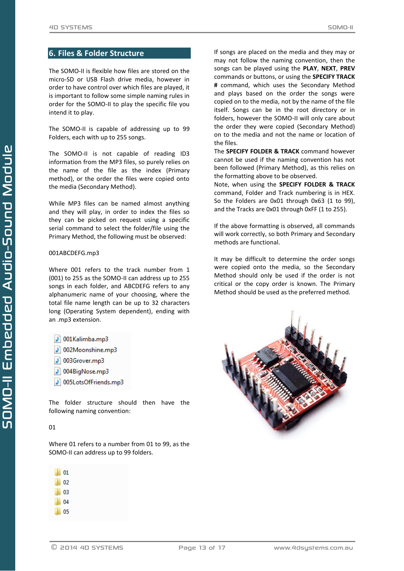## <span id="page-12-0"></span>**6. Files & Folder Structure**

The SOMO-II is flexible how files are stored on the micro-SD or USB Flash drive media, however in order to have control over which files are played, it is important to follow some simple naming rules in order for the SOMO-II to play the specific file you intend it to play.

The SOMO-II is capable of addressing up to 99 Folders, each with up to 255 songs.

The SOMO-II is not capable of reading ID3 information from the MP3 files, so purely relies on the name of the file as the index (Primary method), or the order the files were copied onto the media (Secondary Method).

While MP3 files can be named almost anything and they will play, in order to index the files so they can be picked on request using a specific serial command to select the folder/file using the Primary Method, the following must be observed:

#### 001ABCDEFG.mp3

Where 001 refers to the track number from 1 (001) to 255 as the SOMO-II can address up to 255 songs in each folder, and ABCDEFG refers to any alphanumeric name of your choosing, where the total file name length can be up to 32 characters long (Operating System dependent), ending with an .mp3 extension.

- $|J|$  001Kalimba.mp3
- 002Moonshine.mp3
- 003Grover.mp3
- 1 004BigNose.mp3
- 005LotsOfFriends.mp3

The folder structure should then have the following naming convention:

## 01

Where 01 refers to a number from 01 to 99, as the SOMO-II can address up to 99 folders.

| l 01     |  |
|----------|--|
| l 02     |  |
| ll 03    |  |
| l 04     |  |
| 05<br>D. |  |

If songs are placed on the media and they may or may not follow the naming convention, then the songs can be played using the **PLAY**, **NEXT**, **PREV** commands or buttons, or using the **SPECIFY TRACK #** command, which uses the Secondary Method and plays based on the order the songs were copied on to the media, not by the name of the file itself. Songs can be in the root directory or in folders, however the SOMO-II will only care about the order they were copied (Secondary Method) on to the media and not the name or location of the files.

The **SPECIFY FOLDER & TRACK** command however cannot be used if the naming convention has not been followed (Primary Method), as this relies on the formatting above to be observed.

Note, when using the **SPECIFY FOLDER & TRACK** command, Folder and Track numbering is in HEX. So the Folders are 0x01 through 0x63 (1 to 99), and the Tracks are 0x01 through 0xFF (1 to 255).

If the above formatting is observed, all commands will work correctly, so both Primary and Secondary methods are functional.

It may be difficult to determine the order songs were copied onto the media, so the Secondary Method should only be used if the order is not critical or the copy order is known. The Primary Method should be used as the preferred method.



-Sound Module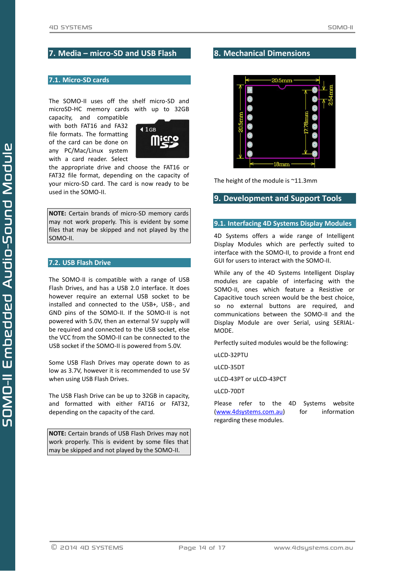## <span id="page-13-0"></span>**7. Media – micro-SD and USB Flash**

## <span id="page-13-1"></span>**7.1. Micro-SD cards**

The SOMO-II uses off the shelf micro-SD and microSD-HC memory cards with up to 32GB

capacity, and compatible with both FAT16 and FA32 file formats. The formatting of the card can be done on any PC/Mac/Linux system with a card reader. Select



the appropriate drive and choose the FAT16 or FAT32 file format, depending on the capacity of your micro-SD card. The card is now ready to be used in the SOMO-II.

**NOTE:** Certain brands of micro-SD memory cards may not work properly. This is evident by some files that may be skipped and not played by the SOMO-II.

## <span id="page-13-2"></span>**7.2. USB Flash Drive**

The SOMO-II is compatible with a range of USB Flash Drives, and has a USB 2.0 interface. It does however require an external USB socket to be installed and connected to the USB+, USB-, and GND pins of the SOMO-II. If the SOMO-II is not powered with 5.0V, then an external 5V supply will be required and connected to the USB socket, else the VCC from the SOMO-II can be connected to the USB socket if the SOMO-II is powered from 5.0V.

Some USB Flash Drives may operate down to as low as 3.7V, however it is recommended to use 5V when using USB Flash Drives.

The USB Flash Drive can be up to 32GB in capacity, and formatted with either FAT16 or FAT32, depending on the capacity of the card.

**NOTE:** Certain brands of USB Flash Drives may not work properly. This is evident by some files that may be skipped and not played by the SOMO-II.

## <span id="page-13-3"></span>**8. Mechanical Dimensions**



The height of the module is ~11.3mm

## <span id="page-13-4"></span>**9. Development and Support Tools**

## <span id="page-13-5"></span>**9.1. Interfacing 4D Systems Display Modules**

4D Systems offers a wide range of Intelligent Display Modules which are perfectly suited to interface with the SOMO-II, to provide a front end GUI for users to interact with the SOMO-II.

While any of the 4D Systems Intelligent Display modules are capable of interfacing with the SOMO-II, ones which feature a Resistive or Capacitive touch screen would be the best choice, so no external buttons are required, and communications between the SOMO-II and the Display Module are over Serial, using SERIAL-MODE.

Perfectly suited modules would be the following:

uLCD-32PTU

uLCD-35DT

uLCD-43PT or uLCD-43PCT

uLCD-70DT

Please refer to the 4D Systems website [\(www.4dsystems.com.au\)](http://www.4dsystems.com.au/) for information regarding these modules.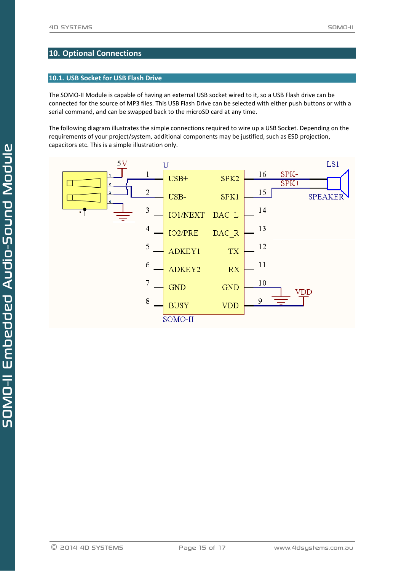## <span id="page-14-0"></span>**10. Optional Connections**

## <span id="page-14-1"></span>**10.1. USB Socket for USB Flash Drive**

The SOMO-II Module is capable of having an external USB socket wired to it, so a USB Flash drive can be connected for the source of MP3 files. This USB Flash Drive can be selected with either push buttons or with a serial command, and can be swapped back to the microSD card at any time.

The following diagram illustrates the simple connections required to wire up a USB Socket. Depending on the requirements of your project/system, additional components may be justified, such as ESD projection, capacitors etc. This is a simple illustration only.

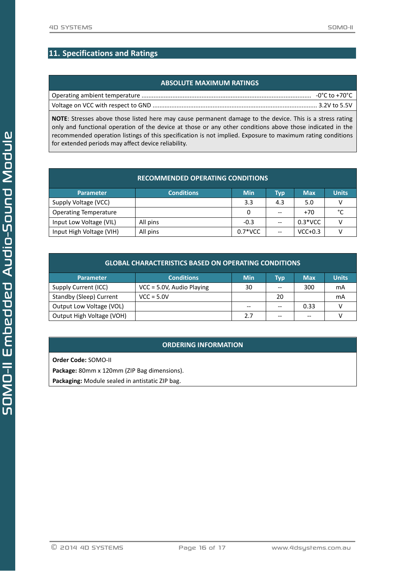# <span id="page-15-0"></span>**11. Specifications and Ratings**

## **ABSOLUTE MAXIMUM RATINGS**

**NOTE**: Stresses above those listed here may cause permanent damage to the device. This is a stress rating only and functional operation of the device at those or any other conditions above those indicated in the recommended operation listings of this specification is not implied. Exposure to maximum rating conditions for extended periods may affect device reliability.

| <b>RECOMMENDED OPERATING CONDITIONS</b> |                   |            |       |            |              |  |  |
|-----------------------------------------|-------------------|------------|-------|------------|--------------|--|--|
| <b>Parameter</b>                        | <b>Conditions</b> | <b>Min</b> | Typ   | <b>Max</b> | <b>Units</b> |  |  |
| Supply Voltage (VCC)                    |                   | 3.3        | 4.3   | 5.0        |              |  |  |
| <b>Operating Temperature</b>            |                   | 0          |       | $+70$      | °C           |  |  |
| Input Low Voltage (VIL)                 | All pins          | $-0.3$     |       | $0.3*VCC$  |              |  |  |
| Input High Voltage (VIH)                | All pins          | $0.7*VCC$  | $- -$ | $VCC+0.3$  |              |  |  |

| <b>GLOBAL CHARACTERISTICS BASED ON OPERATING CONDITIONS</b> |                           |            |     |            |              |  |  |
|-------------------------------------------------------------|---------------------------|------------|-----|------------|--------------|--|--|
| <b>Parameter</b>                                            | <b>Conditions</b>         | <b>Min</b> | Typ | <b>Max</b> | <b>Units</b> |  |  |
| Supply Current (ICC)                                        | VCC = 5.0V, Audio Playing | 30         |     | 300        | mA           |  |  |
| Standby (Sleep) Current                                     | $VCC = 5.0V$              |            | 20  |            | mA           |  |  |
| Output Low Voltage (VOL)                                    |                           | --         |     | 0.33       |              |  |  |
| Output High Voltage (VOH)                                   |                           | 2.7        |     | --         |              |  |  |

## **ORDERING INFORMATION**

**Order Code:** SOMO-II

**Package:** 80mm x 120mm (ZIP Bag dimensions).

**Packaging:** Module sealed in antistatic ZIP bag.